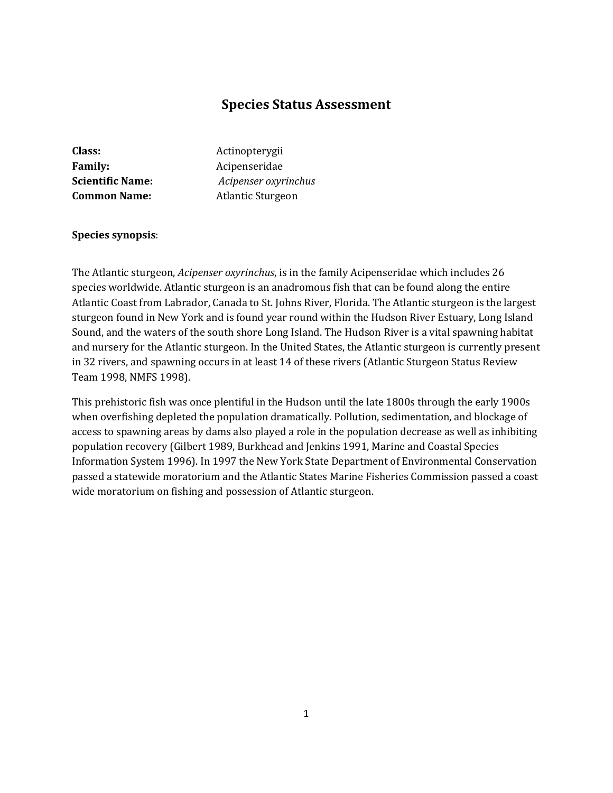# **Species Status Assessment**

| Class:                  | Actinopterygii           |  |
|-------------------------|--------------------------|--|
| <b>Family:</b>          | Acipenseridae            |  |
| <b>Scientific Name:</b> | Acipenser oxyrinchus     |  |
| <b>Common Name:</b>     | <b>Atlantic Sturgeon</b> |  |

#### **Species synopsis**:

The Atlantic sturgeon, *Acipenser oxyrinchus*, is in the family Acipenseridae which includes 26 species worldwide. Atlantic sturgeon is an anadromous fish that can be found along the entire Atlantic Coast from Labrador, Canada to St. Johns River, Florida. The Atlantic sturgeon is the largest sturgeon found in New York and is found year round within the Hudson River Estuary, Long Island Sound, and the waters of the south shore Long Island. The Hudson River is a vital spawning habitat and nursery for the Atlantic sturgeon. In the United States, the Atlantic sturgeon is currently present in 32 rivers, and spawning occurs in at least 14 of these rivers (Atlantic Sturgeon Status Review Team 1998, NMFS 1998).

This prehistoric fish was once plentiful in the Hudson until the late 1800s through the early 1900s when overfishing depleted the population dramatically. Pollution, sedimentation, and blockage of access to spawning areas by dams also played a role in the population decrease as well as inhibiting population recovery (Gilbert 1989, Burkhead and Jenkins 1991, Marine and Coastal Species Information System 1996). In 1997 the New York State Department of Environmental Conservation passed a statewide moratorium and the Atlantic States Marine Fisheries Commission passed a coast wide moratorium on fishing and possession of Atlantic sturgeon.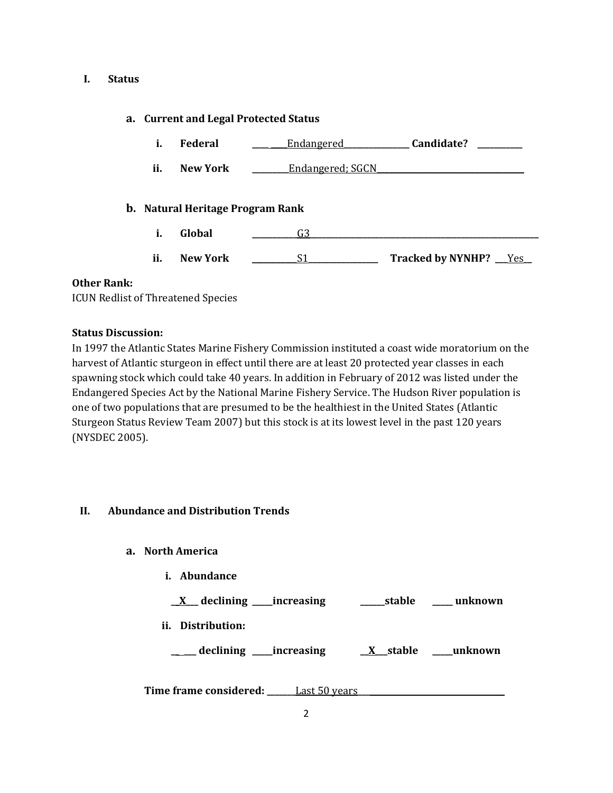### **I. Status**

# **a. Current and Legal Protected Status**

- **i. Federal \_\_\_\_ \_\_\_\_**Endangered**\_\_\_\_\_\_\_\_\_\_\_\_\_\_\_\_ Candidate? \_\_\_\_\_\_\_\_\_\_\_**
- **ii. New York Leadangered**; SGCN

# **b. Natural Heritage Program Rank**

- **i. Global \_\_\_\_\_\_\_\_\_\_\_**G3**\_\_\_\_\_\_\_\_\_\_\_\_\_\_\_\_\_\_\_\_\_\_\_\_\_\_\_\_\_\_\_\_\_\_\_\_\_\_\_\_\_\_\_\_\_\_\_\_\_\_\_\_\_\_\_\_**
- **ii. New York** \_\_\_\_\_\_\_\_\_\_\_S1**\_\_\_\_\_\_\_\_\_\_\_\_\_\_\_\_\_ Tracked by NYNHP? \_\_\_**Yes**\_\_**

### **Other Rank:**

ICUN Redlist of Threatened Species

### **Status Discussion:**

In 1997 the Atlantic States Marine Fishery Commission instituted a coast wide moratorium on the harvest of Atlantic sturgeon in effect until there are at least 20 protected year classes in each spawning stock which could take 40 years. In addition in February of 2012 was listed under the Endangered Species Act by the National Marine Fishery Service. The Hudson River population is one of two populations that are presumed to be the healthiest in the United States (Atlantic Sturgeon Status Review Team 2007) but this stock is at its lowest level in the past 120 years (NYSDEC 2005).

# **II. Abundance and Distribution Trends**

- **a. North America**
	- **i. Abundance**

**\_\_X\_\_\_ declining \_\_\_\_\_increasing \_\_\_\_\_\_stable \_\_\_\_\_ unknown**

**ii. Distribution:**

**\_\_ \_\_\_ declining \_\_\_\_\_increasing \_\_X\_\_\_stable \_\_\_\_\_unknown**

**Time frame considered: \_\_\_\_\_\_\_**Last 50 years**\_\_\_\_\_\_\_\_\_\_\_\_\_\_\_\_\_\_\_\_\_\_\_\_\_\_\_\_\_\_\_\_\_\_\_\_**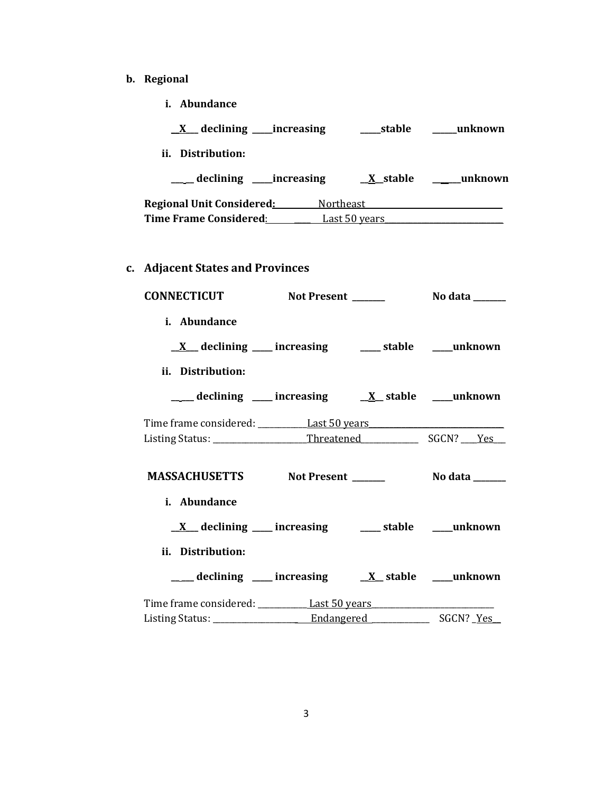- **b. Regional** 
	- **i. Abundance**

| ii. Distribution:                                                                                                                       |                                                                                                                                                                                                                                        |
|-----------------------------------------------------------------------------------------------------------------------------------------|----------------------------------------------------------------------------------------------------------------------------------------------------------------------------------------------------------------------------------------|
|                                                                                                                                         |                                                                                                                                                                                                                                        |
| Regional Unit Considered: Northeast Northeast                                                                                           |                                                                                                                                                                                                                                        |
| Time Frame Considered: Last 50 years Concentration of the Considered:                                                                   |                                                                                                                                                                                                                                        |
| c. Adjacent States and Provinces                                                                                                        |                                                                                                                                                                                                                                        |
| CONNECTICUT Not Present ______                                                                                                          | No data <b>waxaa ka dhinaha dheed ah dheed ah duunad isaa</b> dheed ah duunka badan ah duunka badan ah duunka badan a<br>Dadka badan ah duunka badan ah duunka badan ah duunka badan ah duunka badan ah duunka badan ah duunka badan a |
| i. Abundance                                                                                                                            |                                                                                                                                                                                                                                        |
| $\underline{X}$ declining ___ increasing ___ stable ___ unknown                                                                         |                                                                                                                                                                                                                                        |
| ii. Distribution:                                                                                                                       |                                                                                                                                                                                                                                        |
| $\frac{1}{\sqrt{1-x^2}}$ declining $\frac{1}{\sqrt{1-x^2}}$ increasing $\frac{1}{\sqrt{1-x^2}}$ stable $\frac{1}{\sqrt{1-x^2}}$ unknown |                                                                                                                                                                                                                                        |
| Time frame considered: ____________Last 50 years _______________________________                                                        |                                                                                                                                                                                                                                        |
|                                                                                                                                         |                                                                                                                                                                                                                                        |

**MASSACHUSETTS Not Present \_\_\_\_\_\_\_\_ No data \_\_\_\_\_\_\_\_ i. Abundance \_\_X\_\_\_ declining \_\_\_\_\_ increasing \_\_\_\_\_ stable \_\_\_\_\_unknown ii. Distribution: \_\_ \_\_\_ declining \_\_\_\_\_ increasing \_\_X\_\_ stable \_\_\_\_\_unknown**

| Time frame considered: | Last 50 years |           |
|------------------------|---------------|-----------|
| <b>Listing Status:</b> | Endangered    | SGCN? Yes |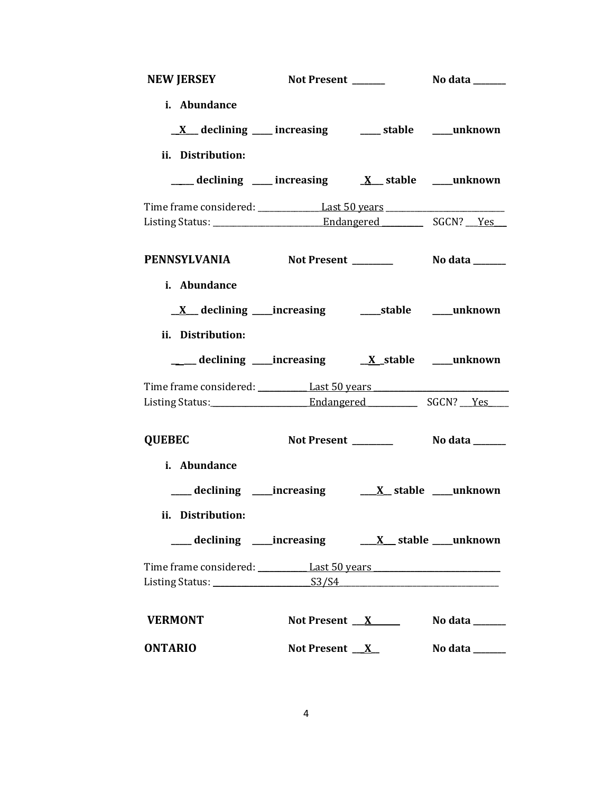| <b>NEW JERSEY</b>                                                                 |                                                  |                             |
|-----------------------------------------------------------------------------------|--------------------------------------------------|-----------------------------|
| i. Abundance                                                                      |                                                  |                             |
| <u>X</u> declining increasing ______ stable ______ unknown                        |                                                  |                             |
| ii. Distribution:                                                                 |                                                  |                             |
| ___ declining ___ increasing ___ __ __ __ __ __ __ __ __ __ __ unknown            |                                                  |                             |
|                                                                                   |                                                  |                             |
| Listing Status: ________________________Endangered ______________________________ |                                                  |                             |
| PENNSYLVANIA Not Present ________ No data _____                                   |                                                  |                             |
| i. Abundance                                                                      |                                                  |                             |
|                                                                                   |                                                  |                             |
| ii. Distribution:                                                                 |                                                  |                             |
|                                                                                   |                                                  |                             |
| Time frame considered: Last 50 years Manual Community Constants                   |                                                  |                             |
| Listing Status: Endangered SGCN? Yes                                              |                                                  |                             |
| <b>QUEBEC</b>                                                                     | <b>Not Present __________    No data _______</b> |                             |
| i. Abundance                                                                      |                                                  |                             |
| ___ declining ____increasing ____ <u>X__</u> stable ____unknown                   |                                                  |                             |
| ii. Distribution:                                                                 |                                                  |                             |
| ____ declining ____increasing ____ <u>X__</u> stable ___unknown                   |                                                  |                             |
| Time frame considered: Last 50 years                                              |                                                  |                             |
|                                                                                   |                                                  |                             |
| <b>VERMONT</b>                                                                    | Not Present $X$                                  | No data $\_\_$              |
| <b>ONTARIO</b>                                                                    |                                                  | Not Present $X$ No data $X$ |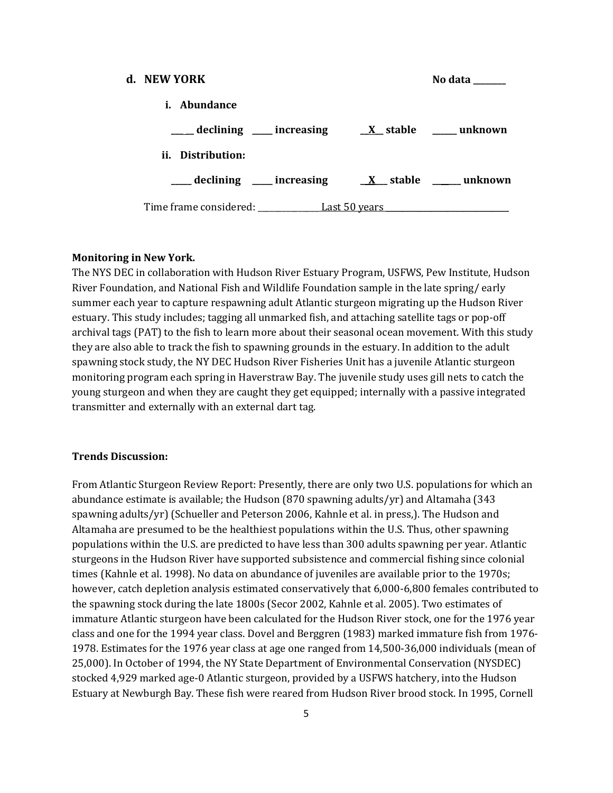| d. NEW YORK                          |                                                                                               | No data |
|--------------------------------------|-----------------------------------------------------------------------------------------------|---------|
| <i>i.</i> Abundance                  |                                                                                               |         |
|                                      | $\frac{1}{\sqrt{1-x^2}}$ declining ____ increasing _____ $\underline{X}$ stable _____ unknown |         |
| ii. Distribution:                    |                                                                                               |         |
|                                      | ___ declining ____ increasing _____ ___ ____ ____ unknown                                     |         |
| Time frame considered: Last 50 years |                                                                                               |         |

#### **Monitoring in New York.**

The NYS DEC in collaboration with Hudson River Estuary Program, USFWS, Pew Institute, Hudson River Foundation, and National Fish and Wildlife Foundation sample in the late spring/ early summer each year to capture respawning adult Atlantic sturgeon migrating up the Hudson River estuary. This study includes; tagging all unmarked fish, and attaching satellite tags or pop-off archival tags (PAT) to the fish to learn more about their seasonal ocean movement. With this study they are also able to track the fish to spawning grounds in the estuary. In addition to the adult spawning stock study, the NY DEC Hudson River Fisheries Unit has a juvenile Atlantic sturgeon monitoring program each spring in Haverstraw Bay. The juvenile study uses gill nets to catch the young sturgeon and when they are caught they get equipped; internally with a passive integrated transmitter and externally with an external dart tag.

#### **Trends Discussion:**

From Atlantic Sturgeon Review Report: Presently, there are only two U.S. populations for which an abundance estimate is available; the Hudson (870 spawning adults/yr) and Altamaha (343 spawning adults/yr) (Schueller and Peterson 2006, Kahnle et al. in press,). The Hudson and Altamaha are presumed to be the healthiest populations within the U.S. Thus, other spawning populations within the U.S. are predicted to have less than 300 adults spawning per year. Atlantic sturgeons in the Hudson River have supported subsistence and commercial fishing since colonial times (Kahnle et al. 1998). No data on abundance of juveniles are available prior to the 1970s; however, catch depletion analysis estimated conservatively that 6,000-6,800 females contributed to the spawning stock during the late 1800s (Secor 2002, Kahnle et al. 2005). Two estimates of immature Atlantic sturgeon have been calculated for the Hudson River stock, one for the 1976 year class and one for the 1994 year class. Dovel and Berggren (1983) marked immature fish from 1976- 1978. Estimates for the 1976 year class at age one ranged from 14,500-36,000 individuals (mean of 25,000). In October of 1994, the NY State Department of Environmental Conservation (NYSDEC) stocked 4,929 marked age-0 Atlantic sturgeon, provided by a USFWS hatchery, into the Hudson Estuary at Newburgh Bay. These fish were reared from Hudson River brood stock. In 1995, Cornell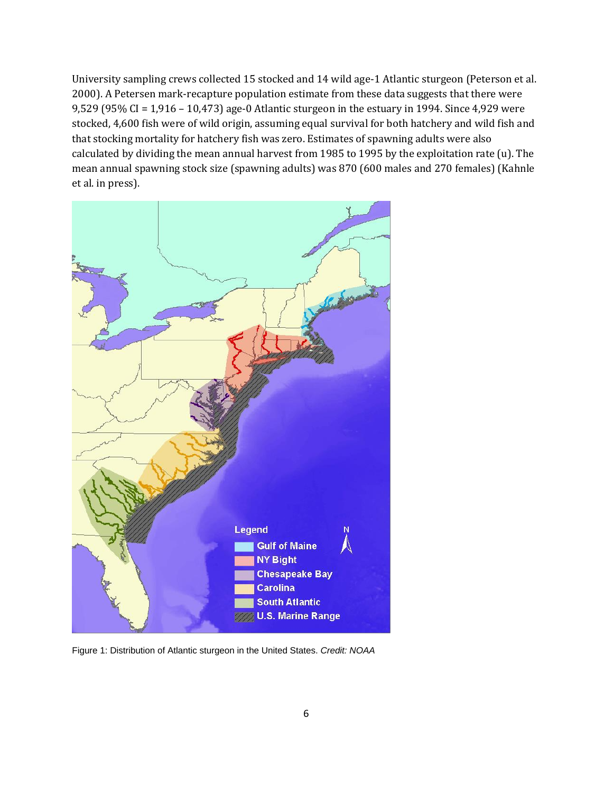University sampling crews collected 15 stocked and 14 wild age-1 Atlantic sturgeon (Peterson et al. 2000). A Petersen mark-recapture population estimate from these data suggests that there were 9,529 (95% CI = 1,916 – 10,473) age-0 Atlantic sturgeon in the estuary in 1994. Since 4,929 were stocked, 4,600 fish were of wild origin, assuming equal survival for both hatchery and wild fish and that stocking mortality for hatchery fish was zero. Estimates of spawning adults were also calculated by dividing the mean annual harvest from 1985 to 1995 by the exploitation rate (u). The mean annual spawning stock size (spawning adults) was 870 (600 males and 270 females) (Kahnle et al. in press).



Figure 1: Distribution of Atlantic sturgeon in the United States. *Credit: NOAA*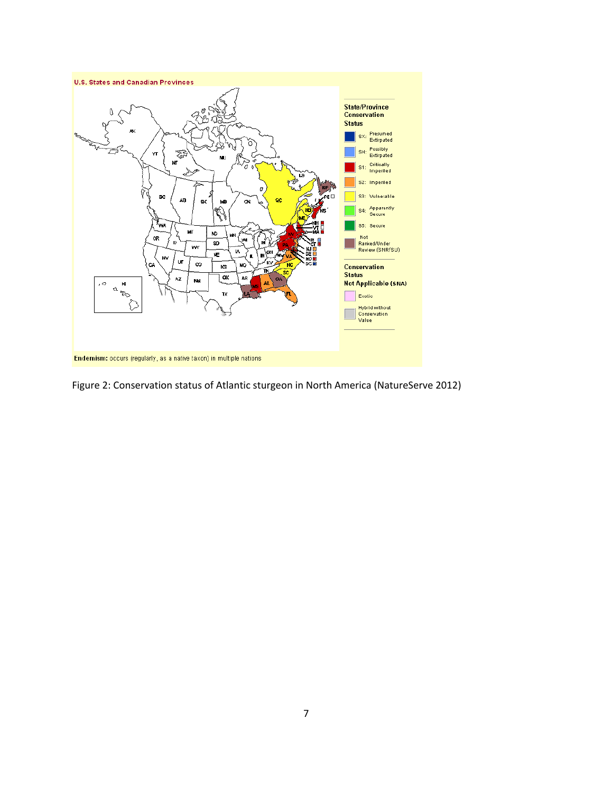

Figure 2: Conservation status of Atlantic sturgeon in North America (NatureServe 2012)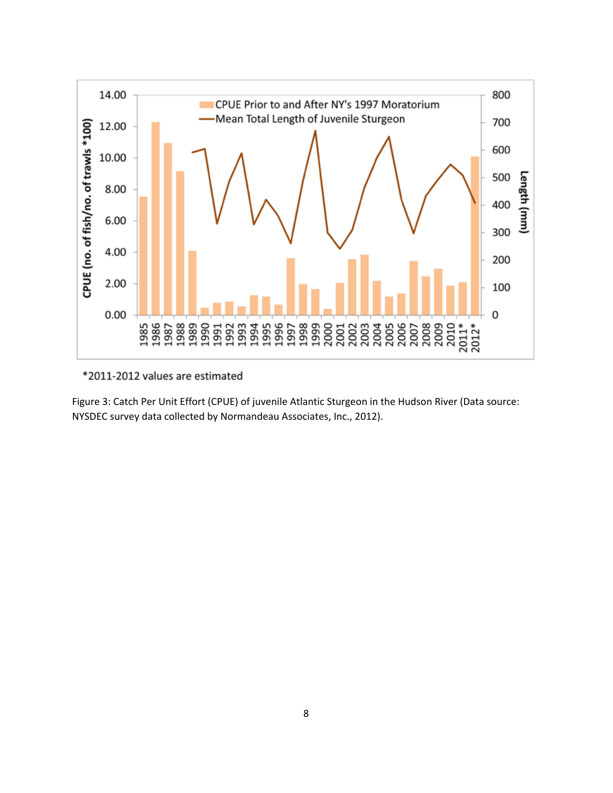

\*2011-2012 values are estimated

Figure 3: Catch Per Unit Effort (CPUE) of juvenile Atlantic Sturgeon in the Hudson River (Data source: NYSDEC survey data collected by Normandeau Associates, Inc., 2012).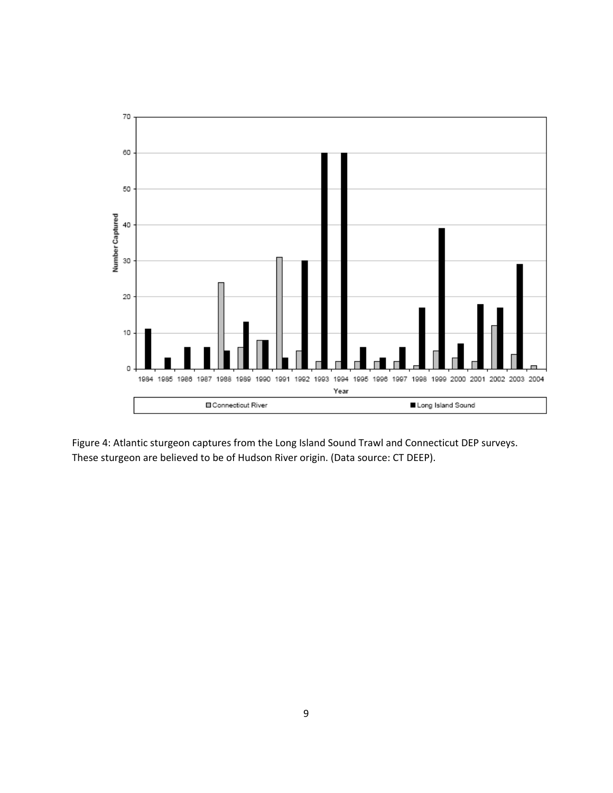

Figure 4: Atlantic sturgeon captures from the Long Island Sound Trawl and Connecticut DEP surveys. These sturgeon are believed to be of Hudson River origin. (Data source: CT DEEP).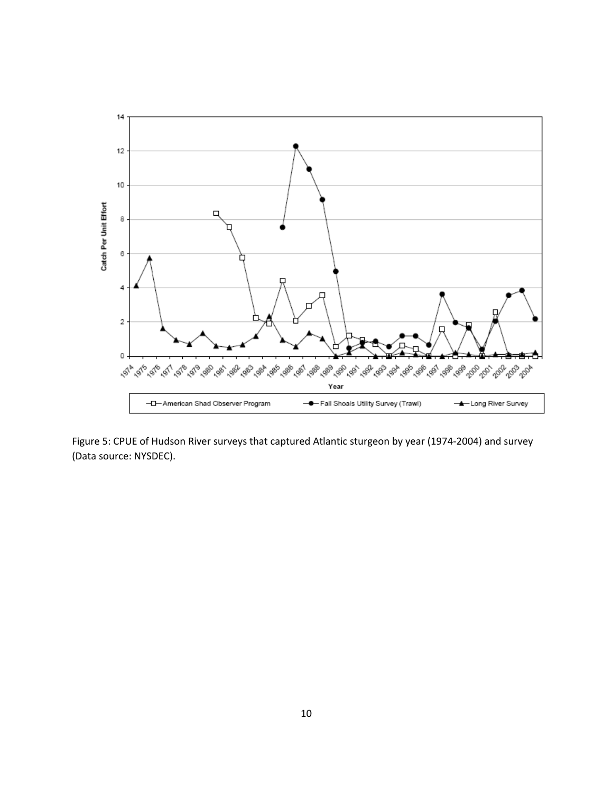

Figure 5: CPUE of Hudson River surveys that captured Atlantic sturgeon by year (1974-2004) and survey (Data source: NYSDEC).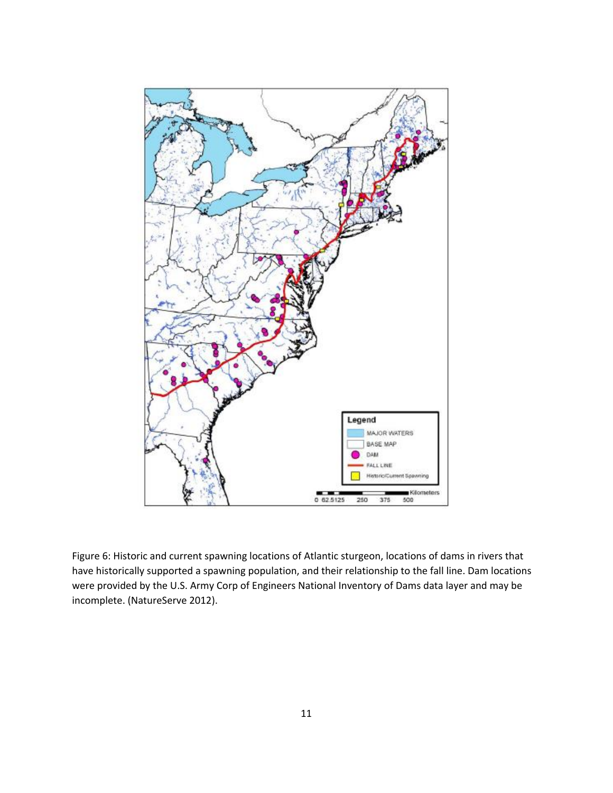

Figure 6: Historic and current spawning locations of Atlantic sturgeon, locations of dams in rivers that have historically supported a spawning population, and their relationship to the fall line. Dam locations were provided by the U.S. Army Corp of Engineers National Inventory of Dams data layer and may be incomplete. (NatureServe 2012).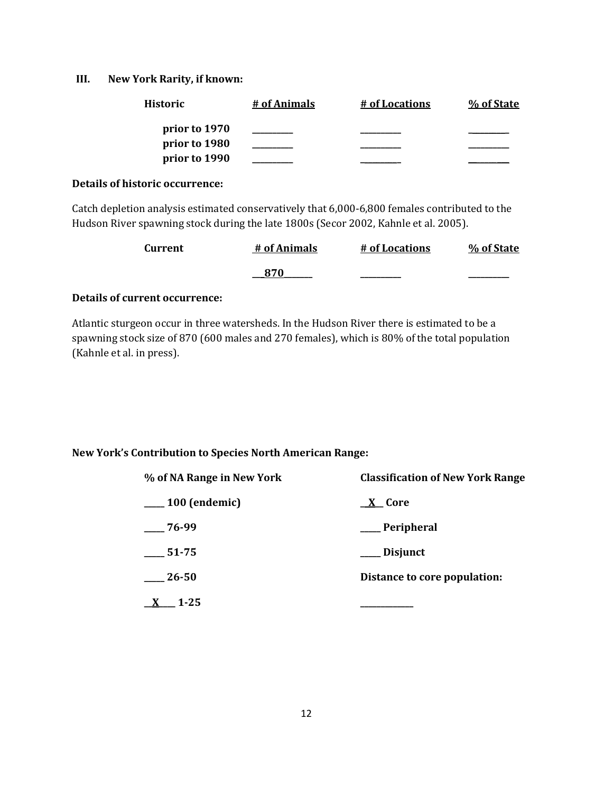# **III. New York Rarity, if known:**

| <b>Historic</b> | # of Animals | # of Locations | % of State |
|-----------------|--------------|----------------|------------|
| prior to 1970   |              |                |            |
| prior to 1980   |              |                |            |
| prior to 1990   |              |                |            |

#### **Details of historic occurrence:**

Catch depletion analysis estimated conservatively that 6,000-6,800 females contributed to the Hudson River spawning stock during the late 1800s (Secor 2002, Kahnle et al. 2005).

| Current | # of Animals | # of Locations | % of State |
|---------|--------------|----------------|------------|
|         |              | _________      | _________  |

# **Details of current occurrence:**

Atlantic sturgeon occur in three watersheds. In the Hudson River there is estimated to be a spawning stock size of 870 (600 males and 270 females), which is 80% of the total population (Kahnle et al. in press).

### **New York's Contribution to Species North American Range:**

| % of NA Range in New York | <b>Classification of New York Range</b> |  |
|---------------------------|-----------------------------------------|--|
| $\frac{100}{2}$ (endemic) | <u>_X</u> _Core                         |  |
| $-76-99$                  | __Peripheral                            |  |
| $\frac{1}{2}$ 51-75       | ___ Disjunct                            |  |
| 26-50                     | Distance to core population:            |  |
| $1-25$                    |                                         |  |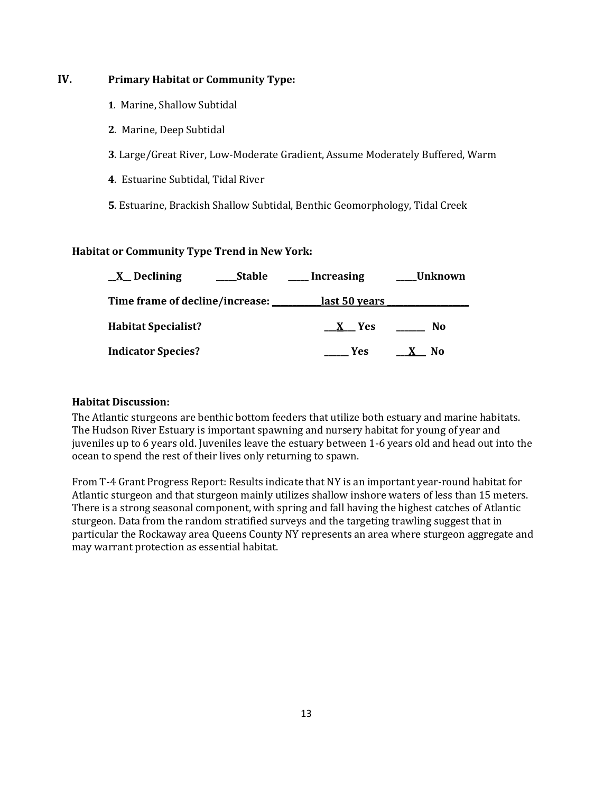# **IV. Primary Habitat or Community Type:**

- **1**. Marine, Shallow Subtidal
- **2**. Marine, Deep Subtidal
- **3**. Large/Great River, Low-Moderate Gradient, Assume Moderately Buffered, Warm
- **4**. Estuarine Subtidal, Tidal River
- **5**. Estuarine, Brackish Shallow Subtidal, Benthic Geomorphology, Tidal Creek

### **Habitat or Community Type Trend in New York:**

| <b>Stable</b><br>$X$ Declining     | <b>Increasing</b>    | <b>Unknown</b> |
|------------------------------------|----------------------|----------------|
| Time frame of decline/increase: __ | <u>last 50 vears</u> |                |
| <b>Habitat Specialist?</b>         | X Yes                | N <sub>0</sub> |
| <b>Indicator Species?</b>          | Yes                  | N <sub>0</sub> |

# **Habitat Discussion:**

The Atlantic sturgeons are benthic bottom feeders that utilize both estuary and marine habitats. The Hudson River Estuary is important spawning and nursery habitat for young of year and juveniles up to 6 years old. Juveniles leave the estuary between 1-6 years old and head out into the ocean to spend the rest of their lives only returning to spawn.

From T-4 Grant Progress Report: Results indicate that NY is an important year-round habitat for Atlantic sturgeon and that sturgeon mainly utilizes shallow inshore waters of less than 15 meters. There is a strong seasonal component, with spring and fall having the highest catches of Atlantic sturgeon. Data from the random stratified surveys and the targeting trawling suggest that in particular the Rockaway area Queens County NY represents an area where sturgeon aggregate and may warrant protection as essential habitat.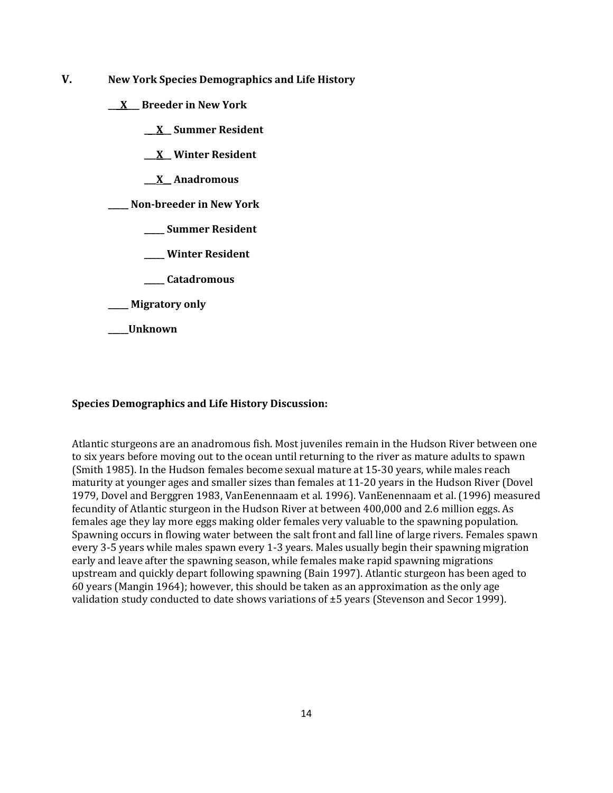- **V. New York Species Demographics and Life History**
	- **\_\_\_X\_\_\_ Breeder in New York**
		- **\_\_\_X\_\_ Summer Resident**
		- **\_\_\_X\_\_ Winter Resident**
		- **\_\_\_X\_\_ Anadromous**

**\_\_\_\_\_ Non-breeder in New York**

- **\_\_\_\_\_ Summer Resident**
- **\_\_\_\_\_ Winter Resident**
- **\_\_\_\_\_ Catadromous**
- **\_\_\_\_\_ Migratory only**
- **\_\_\_\_\_Unknown**

#### **Species Demographics and Life History Discussion:**

Atlantic sturgeons are an anadromous fish. Most juveniles remain in the Hudson River between one to six years before moving out to the ocean until returning to the river as mature adults to spawn (Smith 1985). In the Hudson females become sexual mature at 15-30 years, while males reach maturity at younger ages and smaller sizes than females at 11-20 years in the Hudson River (Dovel 1979, Dovel and Berggren 1983, VanEenennaam et al. 1996). VanEenennaam et al. (1996) measured fecundity of Atlantic sturgeon in the Hudson River at between 400,000 and 2.6 million eggs. As females age they lay more eggs making older females very valuable to the spawning population. Spawning occurs in flowing water between the salt front and fall line of large rivers. Females spawn every 3-5 years while males spawn every 1-3 years. Males usually begin their spawning migration early and leave after the spawning season, while females make rapid spawning migrations upstream and quickly depart following spawning (Bain 1997). Atlantic sturgeon has been aged to 60 years (Mangin 1964); however, this should be taken as an approximation as the only age validation study conducted to date shows variations of ±5 years (Stevenson and Secor 1999).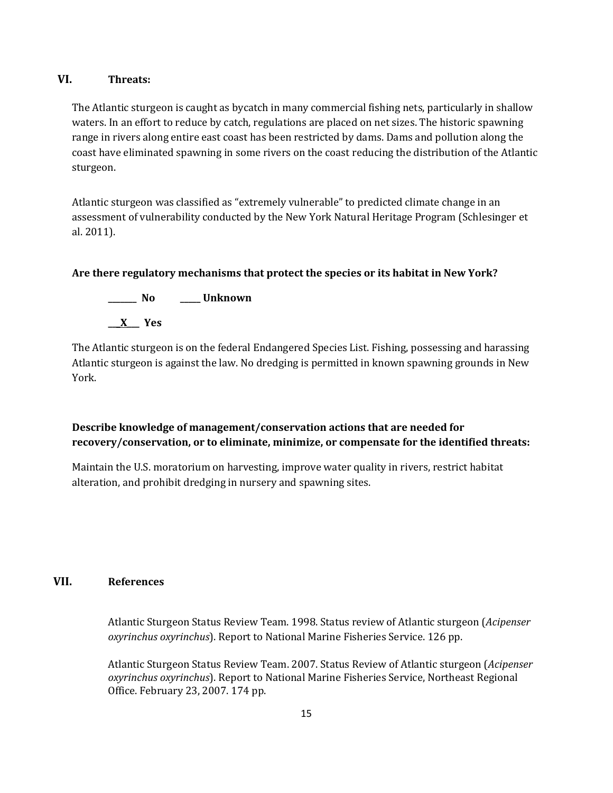# **VI. Threats:**

The Atlantic sturgeon is caught as bycatch in many commercial fishing nets, particularly in shallow waters. In an effort to reduce by catch, regulations are placed on net sizes. The historic spawning range in rivers along entire east coast has been restricted by dams. Dams and pollution along the coast have eliminated spawning in some rivers on the coast reducing the distribution of the Atlantic sturgeon.

Atlantic sturgeon was classified as "extremely vulnerable" to predicted climate change in an assessment of vulnerability conducted by the New York Natural Heritage Program (Schlesinger et al. 2011).

### **Are there regulatory mechanisms that protect the species or its habitat in New York?**



The Atlantic sturgeon is on the federal Endangered Species List. Fishing, possessing and harassing Atlantic sturgeon is against the law. No dredging is permitted in known spawning grounds in New York.

# **Describe knowledge of management/conservation actions that are needed for recovery/conservation, or to eliminate, minimize, or compensate for the identified threats:**

Maintain the U.S. moratorium on harvesting, improve water quality in rivers, restrict habitat alteration, and prohibit dredging in nursery and spawning sites.

### **VII. References**

Atlantic Sturgeon Status Review Team. 1998. Status review of Atlantic sturgeon (*Acipenser oxyrinchus oxyrinchus*). Report to National Marine Fisheries Service. 126 pp.

Atlantic Sturgeon Status Review Team. 2007. Status Review of Atlantic sturgeon (*Acipenser oxyrinchus oxyrinchus*). Report to National Marine Fisheries Service, Northeast Regional Office. February 23, 2007. 174 pp.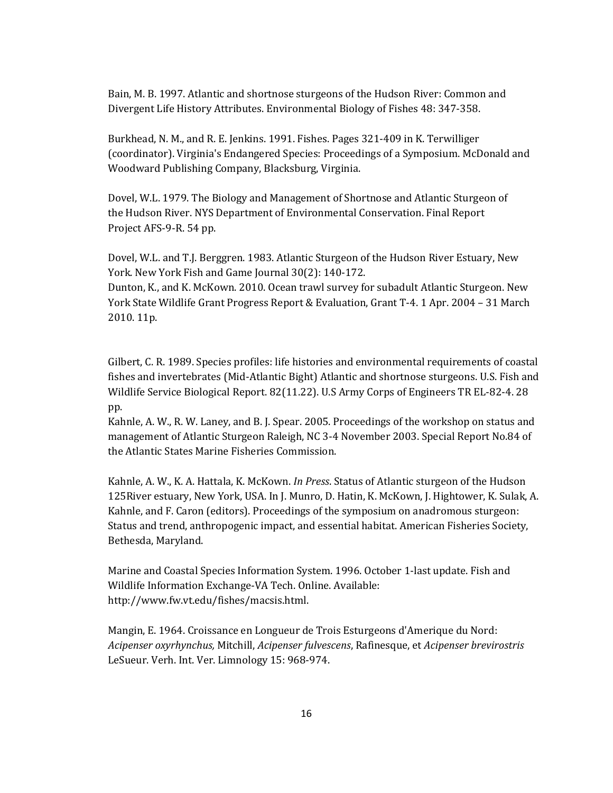Bain, M. B. 1997. Atlantic and shortnose sturgeons of the Hudson River: Common and Divergent Life History Attributes. Environmental Biology of Fishes 48: 347-358.

Burkhead, N. M., and R. E. Jenkins. 1991. Fishes. Pages 321-409 in K. Terwilliger (coordinator). Virginia's Endangered Species: Proceedings of a Symposium. McDonald and Woodward Publishing Company, Blacksburg, Virginia.

Dovel, W.L. 1979. The Biology and Management of Shortnose and Atlantic Sturgeon of the Hudson River. NYS Department of Environmental Conservation. Final Report Project AFS-9-R. 54 pp.

Dovel, W.L. and T.J. Berggren. 1983. Atlantic Sturgeon of the Hudson River Estuary, New York. New York Fish and Game Journal 30(2): 140-172.

Dunton, K., and K. McKown. 2010. Ocean trawl survey for subadult Atlantic Sturgeon. New York State Wildlife Grant Progress Report & Evaluation, Grant T-4. 1 Apr. 2004 – 31 March 2010. 11p.

Gilbert, C. R. 1989. Species profiles: life histories and environmental requirements of coastal fishes and invertebrates (Mid-Atlantic Bight) Atlantic and shortnose sturgeons. U.S. Fish and Wildlife Service Biological Report. 82(11.22). U.S Army Corps of Engineers TR EL-82-4. 28 pp.

Kahnle, A. W., R. W. Laney, and B. J. Spear. 2005. Proceedings of the workshop on status and management of Atlantic Sturgeon Raleigh, NC 3-4 November 2003. Special Report No.84 of the Atlantic States Marine Fisheries Commission.

Kahnle, A. W., K. A. Hattala, K. McKown. *In Press*. Status of Atlantic sturgeon of the Hudson 125River estuary, New York, USA. In J. Munro, D. Hatin, K. McKown, J. Hightower, K. Sulak, A. Kahnle, and F. Caron (editors). Proceedings of the symposium on anadromous sturgeon: Status and trend, anthropogenic impact, and essential habitat. American Fisheries Society, Bethesda, Maryland.

Marine and Coastal Species Information System. 1996. October 1-last update. Fish and Wildlife Information Exchange-VA Tech. Online. Available: http://www.fw.vt.edu/fishes/macsis.html.

Mangin, E. 1964. Croissance en Longueur de Trois Esturgeons d'Amerique du Nord: *Acipenser oxyrhynchus,* Mitchill, *Acipenser fulvescens*, Rafinesque, et *Acipenser brevirostris*  LeSueur. Verh. Int. Ver. Limnology 15: 968-974.